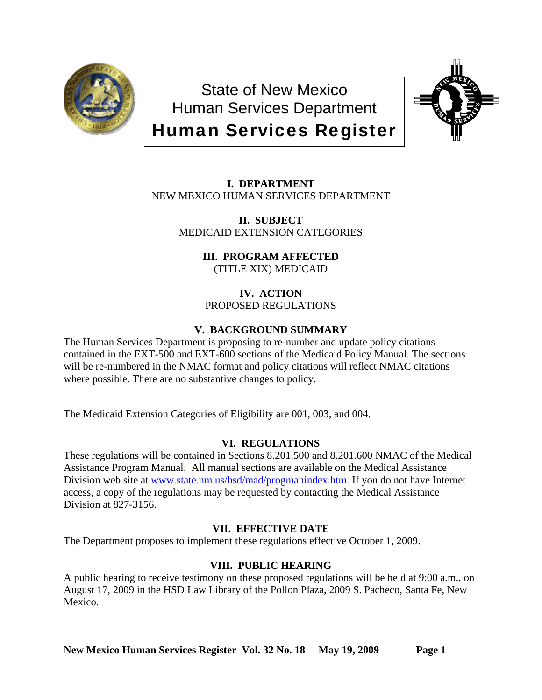

State of New Mexico Human Services Department Human Services Register



**I. DEPARTMENT** NEW MEXICO HUMAN SERVICES DEPARTMENT

> **II. SUBJECT** MEDICAID EXTENSION CATEGORIES

> > **III. PROGRAM AFFECTED** (TITLE XIX) MEDICAID

**IV. ACTION** PROPOSED REGULATIONS

# **V. BACKGROUND SUMMARY**

The Human Services Department is proposing to re-number and update policy citations contained in the EXT-500 and EXT-600 sections of the Medicaid Policy Manual. The sections will be re-numbered in the NMAC format and policy citations will reflect NMAC citations where possible. There are no substantive changes to policy.

The Medicaid Extension Categories of Eligibility are 001, 003, and 004.

# **VI. REGULATIONS**

These regulations will be contained in Sections 8.201.500 and 8.201.600 NMAC of the Medical Assistance Program Manual. All manual sections are available on the Medical Assistance Division web site at [www.state.nm.us/hsd/mad/progmanindex.htm.](http://www.state.nm.us/hsd/mad/progmanindex.htm) If you do not have Internet access, a copy of the regulations may be requested by contacting the Medical Assistance Division at 827-3156.

# **VII. EFFECTIVE DATE**

The Department proposes to implement these regulations effective October 1, 2009.

# **VIII. PUBLIC HEARING**

A public hearing to receive testimony on these proposed regulations will be held at 9:00 a.m., on August 17, 2009 in the HSD Law Library of the Pollon Plaza, 2009 S. Pacheco, Santa Fe, New Mexico.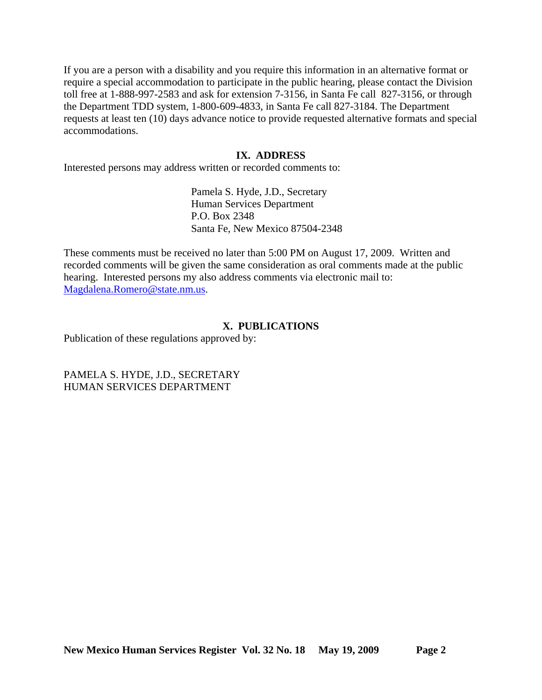If you are a person with a disability and you require this information in an alternative format or require a special accommodation to participate in the public hearing, please contact the Division toll free at 1-888-997-2583 and ask for extension 7-3156, in Santa Fe call 827-3156, or through the Department TDD system, 1-800-609-4833, in Santa Fe call 827-3184. The Department requests at least ten (10) days advance notice to provide requested alternative formats and special accommodations.

#### **IX. ADDRESS**

Interested persons may address written or recorded comments to:

Pamela S. Hyde, J.D., Secretary Human Services Department P.O. Box 2348 Santa Fe, New Mexico 87504-2348

These comments must be received no later than 5:00 PM on August 17, 2009. Written and recorded comments will be given the same consideration as oral comments made at the public hearing. Interested persons my also address comments via electronic mail to: [Magdalena.Romero@state.nm.us.](mailto:Magdalena.Romero@state.nm.us)

### **X. PUBLICATIONS**

Publication of these regulations approved by:

PAMELA S. HYDE, J.D., SECRETARY HUMAN SERVICES DEPARTMENT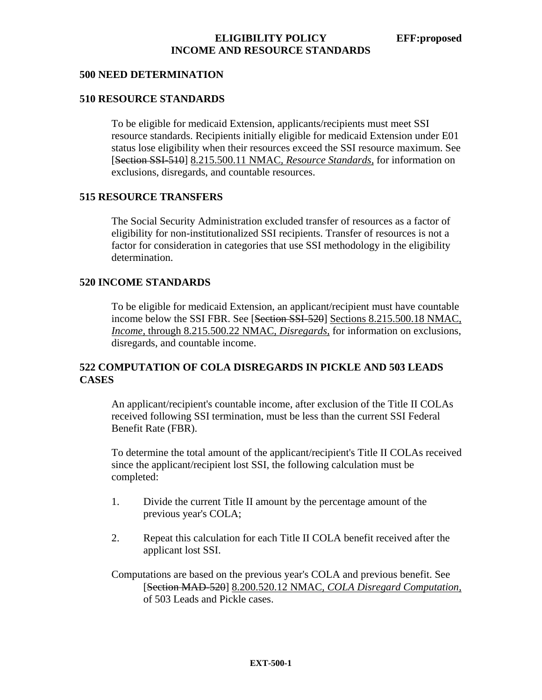#### **500 NEED DETERMINATION**

### **510 RESOURCE STANDARDS**

To be eligible for medicaid Extension, applicants/recipients must meet SSI resource standards. Recipients initially eligible for medicaid Extension under E01 status lose eligibility when their resources exceed the SSI resource maximum. See [Section SSI-510] 8.215.500.11 NMAC*, Resource Standards,* for information on exclusions, disregards, and countable resources.

### **515 RESOURCE TRANSFERS**

The Social Security Administration excluded transfer of resources as a factor of eligibility for non-institutionalized SSI recipients. Transfer of resources is not a factor for consideration in categories that use SSI methodology in the eligibility determination.

#### **520 INCOME STANDARDS**

To be eligible for medicaid Extension, an applicant/recipient must have countable income below the SSI FBR. See [Section SSI-520] Sections 8.215.500.18 NMAC, *Income,* through 8.215.500.22 NMAC, *Disregards,* for information on exclusions, disregards, and countable income.

## **522 COMPUTATION OF COLA DISREGARDS IN PICKLE AND 503 LEADS CASES**

An applicant/recipient's countable income, after exclusion of the Title II COLAs received following SSI termination, must be less than the current SSI Federal Benefit Rate (FBR).

To determine the total amount of the applicant/recipient's Title II COLAs received since the applicant/recipient lost SSI, the following calculation must be completed:

- 1. Divide the current Title II amount by the percentage amount of the previous year's COLA;
- 2. Repeat this calculation for each Title II COLA benefit received after the applicant lost SSI.

Computations are based on the previous year's COLA and previous benefit. See [Section MAD-520] 8.200.520.12 NMAC*, COLA Disregard Computation,* of 503 Leads and Pickle cases.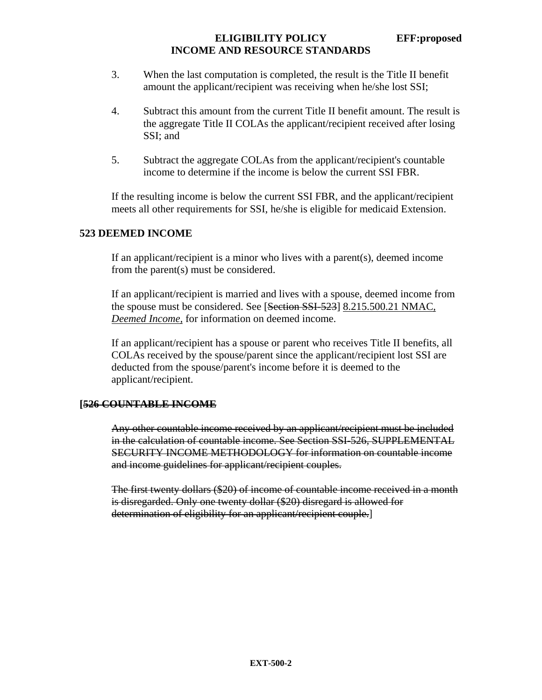## **ELIGIBILITY POLICY EFF:proposed INCOME AND RESOURCE STANDARDS**

- 3. When the last computation is completed, the result is the Title II benefit amount the applicant/recipient was receiving when he/she lost SSI;
- 4. Subtract this amount from the current Title II benefit amount. The result is the aggregate Title II COLAs the applicant/recipient received after losing SSI; and
- 5. Subtract the aggregate COLAs from the applicant/recipient's countable income to determine if the income is below the current SSI FBR.

If the resulting income is below the current SSI FBR, and the applicant/recipient meets all other requirements for SSI, he/she is eligible for medicaid Extension.

# **523 DEEMED INCOME**

If an applicant/recipient is a minor who lives with a parent(s), deemed income from the parent(s) must be considered.

If an applicant/recipient is married and lives with a spouse, deemed income from the spouse must be considered. See [Section SSI-523] 8.215.500.21 NMAC*, Deemed Income,* for information on deemed income.

If an applicant/recipient has a spouse or parent who receives Title II benefits, all COLAs received by the spouse/parent since the applicant/recipient lost SSI are deducted from the spouse/parent's income before it is deemed to the applicant/recipient.

### **[526 COUNTABLE INCOME**

Any other countable income received by an applicant/recipient must be included in the calculation of countable income. See Section SSI-526, SUPPLEMENTAL SECURITY INCOME METHODOLOGY for information on countable income and income guidelines for applicant/recipient couples.

The first twenty dollars (\$20) of income of countable income received in a month is disregarded. Only one twenty dollar (\$20) disregard is allowed for determination of eligibility for an applicant/recipient couple.]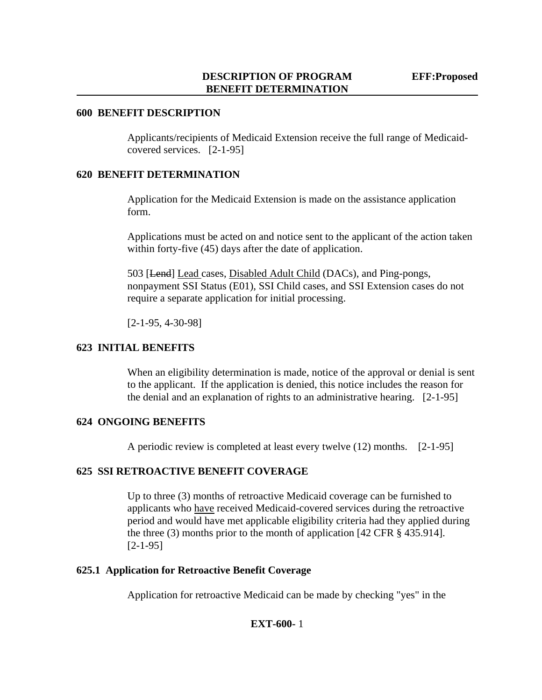#### **600 BENEFIT DESCRIPTION**

Applicants/recipients of Medicaid Extension receive the full range of Medicaidcovered services. [2-1-95]

### **620 BENEFIT DETERMINATION**

Application for the Medicaid Extension is made on the assistance application form.

Applications must be acted on and notice sent to the applicant of the action taken within forty-five (45) days after the date of application.

503 [Lend] Lead cases, Disabled Adult Child (DACs), and Ping-pongs, nonpayment SSI Status (E01), SSI Child cases, and SSI Extension cases do not require a separate application for initial processing.

[2-1-95, 4-30-98]

## **623 INITIAL BENEFITS**

When an eligibility determination is made, notice of the approval or denial is sent to the applicant. If the application is denied, this notice includes the reason for the denial and an explanation of rights to an administrative hearing. [2-1-95]

### **624 ONGOING BENEFITS**

A periodic review is completed at least every twelve (12) months. [2-1-95]

### **625 SSI RETROACTIVE BENEFIT COVERAGE**

Up to three (3) months of retroactive Medicaid coverage can be furnished to applicants who have received Medicaid-covered services during the retroactive period and would have met applicable eligibility criteria had they applied during the three (3) months prior to the month of application [42 CFR § 435.914]. [2-1-95]

#### **625.1 Application for Retroactive Benefit Coverage**

Application for retroactive Medicaid can be made by checking "yes" in the

### **EXT-600-** 1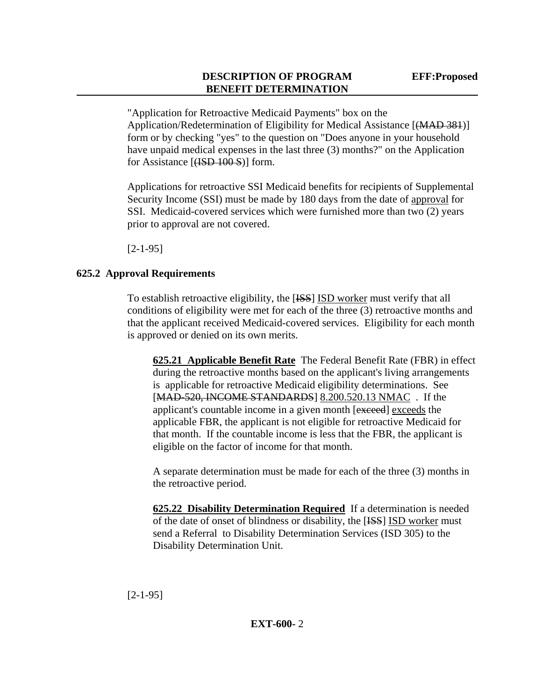"Application for Retroactive Medicaid Payments" box on the Application/Redetermination of Eligibility for Medical Assistance [(MAD 381)] form or by checking "yes" to the question on "Does anyone in your household have unpaid medical expenses in the last three (3) months?" on the Application for Assistance [<del>(ISD 100 S</del>)] form.

Applications for retroactive SSI Medicaid benefits for recipients of Supplemental Security Income (SSI) must be made by 180 days from the date of approval for SSI. Medicaid-covered services which were furnished more than two (2) years prior to approval are not covered.

[2-1-95]

# **625.2 Approval Requirements**

To establish retroactive eligibility, the [ISS] ISD worker must verify that all conditions of eligibility were met for each of the three (3) retroactive months and that the applicant received Medicaid-covered services. Eligibility for each month is approved or denied on its own merits.

**625.21 Applicable Benefit Rate** The Federal Benefit Rate (FBR) in effect during the retroactive months based on the applicant's living arrangements is applicable for retroactive Medicaid eligibility determinations. See [MAD-520, INCOME STANDARDS] 8.200.520.13 NMAC . If the applicant's countable income in a given month [exceed] exceeds the applicable FBR, the applicant is not eligible for retroactive Medicaid for that month. If the countable income is less that the FBR, the applicant is eligible on the factor of income for that month.

A separate determination must be made for each of the three (3) months in the retroactive period.

**625.22 Disability Determination Required** If a determination is needed of the date of onset of blindness or disability, the [ISS] ISD worker must send a Referral to Disability Determination Services (ISD 305) to the Disability Determination Unit.

[2-1-95]